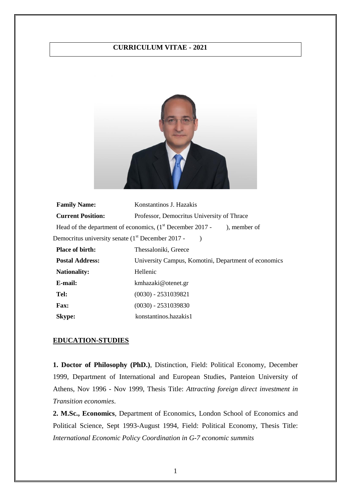## **CURRICULUM VITAE - 2021**



| <b>Family Name:</b>                                           | Konstantinos J. Hazakis                                                              |
|---------------------------------------------------------------|--------------------------------------------------------------------------------------|
| <b>Current Position:</b>                                      | Professor, Democritus University of Thrace                                           |
|                                                               | Head of the department of economics, $(1st December 2017 -$<br>$\lambda$ , member of |
| Democritus university senate (1 <sup>st</sup> December 2017 - |                                                                                      |
| <b>Place of birth:</b>                                        | Thessaloniki, Greece                                                                 |
| <b>Postal Address:</b>                                        | University Campus, Komotini, Department of economics                                 |
| <b>Nationality:</b>                                           | Hellenic                                                                             |
| E-mail:                                                       | kmhazaki@otenet.gr                                                                   |
| Tel:                                                          | $(0030) - 2531039821$                                                                |
| <b>Fax:</b>                                                   | $(0030) - 2531039830$                                                                |
| <b>Skype:</b>                                                 | konstantinos.hazakis1                                                                |

#### **EDUCATION-STUDIES**

**1. Doctor of Philosophy (PhD.)**, Distinction, Field: Political Economy, December 1999, Department of International and European Studies, Panteion University of Athens, Nov 1996 - Nov 1999, Thesis Title: *Attracting foreign direct investment in Transition economies*.

**2. M.Sc., Economics**, Department of Economics, London School of Economics and Political Science, Sept 1993-August 1994, Field: Political Economy, Thesis Title: *International Economic Policy Coordination in G-7 economic summits*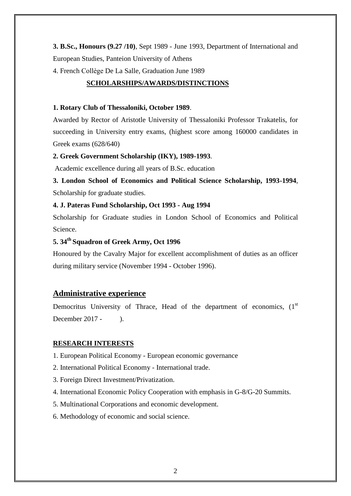**3. B.Sc., Honours (9.27 /10)**, Sept 1989 - June 1993, Department of International and European Studies, Panteion University of Athens

4. French Collège De La Salle, Graduation June 1989

# **SCHOLARSHIPS/AWARDS/DISTINCTIONS**

## **1. Rotary Club of Thessaloniki, October 1989**.

Awarded by Rector of Aristotle University of Thessaloniki Professor Trakatelis, for succeeding in University entry exams, (highest score among 160000 candidates in Greek exams (628/640)

# **2. Greek Government Scholarship (IKY), 1989-1993**.

Academic excellence during all years of B.Sc. education

**3. London School of Economics and Political Science Scholarship, 1993-1994**, Scholarship for graduate studies.

# **4. J. Pateras Fund Scholarship, Oct 1993 - Aug 1994**

Scholarship for Graduate studies in London School of Economics and Political Science.

# **5. 34th Squadron of Greek Army, Oct 1996**

Honoured by the Cavalry Major for excellent accomplishment of duties as an officer during military service (November 1994 - October 1996).

# **Administrative experience**

Democritus University of Thrace, Head of the department of economics,  $(1<sup>st</sup>)$ December 2017 - 1.

# **RESEARCH INTERESTS**

- 1. European Political Economy European economic governance
- 2. International Political Economy International trade.
- 3. Foreign Direct Investment/Privatization.
- 4. International Economic Policy Cooperation with emphasis in G-8/G-20 Summits.
- 5. Multinational Corporations and economic development.
- 6. Methodology of economic and social science.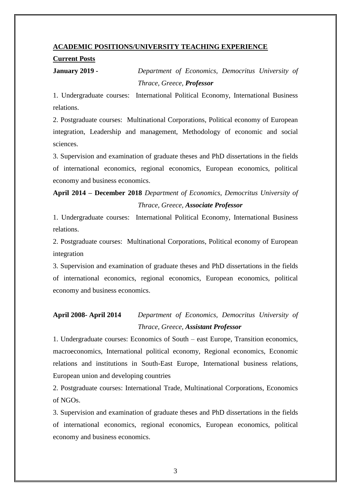## **ACADEMIC POSITIONS/UNIVERSITY TEACHING EXPERIENCE**

#### **Current Posts**

**January 2019 -** *Department of Economics, Democritus University of* 

*Thrace, Greece, Professor*

1. Undergraduate courses: International Political Economy, International Business relations.

2. Postgraduate courses: Multinational Corporations, Political economy of European integration, Leadership and management, Methodology of economic and social sciences.

3. Supervision and examination of graduate theses and PhD dissertations in the fields of international economics, regional economics, European economics, political economy and business economics.

# **April 2014 – December 2018** *Department of Economics, Democritus University of Thrace, Greece, Associate Professor*

1. Undergraduate courses: International Political Economy, International Business relations.

2. Postgraduate courses: Multinational Corporations, Political economy of European integration

3. Supervision and examination of graduate theses and PhD dissertations in the fields of international economics, regional economics, European economics, political economy and business economics.

# **April 2008- April 2014** *Department of Economics, Democritus University of Thrace, Greece, Assistant Professor*

1. Undergraduate courses: Economics of South – east Europe, Transition economics, macroeconomics, International political economy, Regional economics, Economic relations and institutions in South-East Europe, International business relations, European union and developing countries

2. Postgraduate courses: International Trade, Multinational Corporations, Economics of NGOs.

3. Supervision and examination of graduate theses and PhD dissertations in the fields of international economics, regional economics, European economics, political economy and business economics.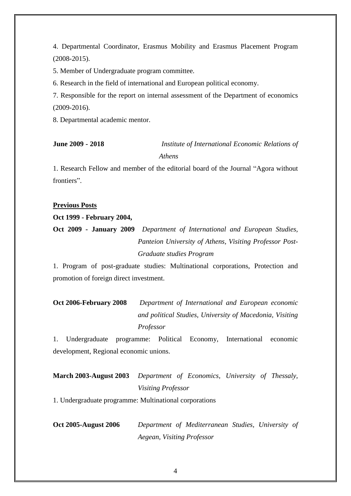4. Departmental Coordinator, Erasmus Mobility and Erasmus Placement Program (2008-2015).

5. Member of Undergraduate program committee.

6. Research in the field of international and European political economy.

7. Responsible for the report on internal assessment of the Department of economics (2009-2016).

8. Departmental academic mentor.

**June 2009 - 2018** *Institute of International Economic Relations of Athens*

1. Research Fellow and member of the editorial board of the Journal "Agora without frontiers".

## **Previous Posts**

## **Oct 1999 - February 2004,**

**Oct 2009 - January 2009** *Department of International and European Studies, Panteion University of Athens, Visiting Professor Post-Graduate studies Program*

1. Program of post-graduate studies: Multinational corporations, Protection and promotion of foreign direct investment.

**Oct 2006-February 2008** *Department of International and European economic and political Studies, University of Macedonia, Visiting Professor*

1. Undergraduate programme: Political Economy, International economic development, Regional economic unions.

# **March 2003-August 2003** *Department of Economics, University of Thessaly, Visiting Professor*

1. Undergraduate programme: Multinational corporations

**Oct 2005-August 2006** *Department of Mediterranean Studies, University of Aegean, Visiting Professor*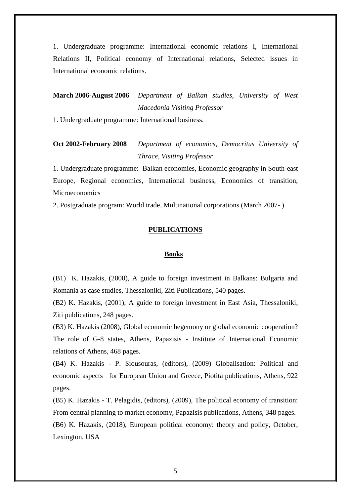1. Undergraduate programme: International economic relations I, International Relations II, Political economy of International relations, Selected issues in International economic relations.

# **March 2006-August 2006** *Department of Balkan studies, University of West Macedonia Visiting Professor*

1. Undergraduate programme: International business.

# **Oct 2002-February 2008** *Department of economics, Democritus University of Thrace, Visiting Professor*

1. Undergraduate programme: Balkan economies, Economic geography in South-east Europe, Regional economics, International business, Economics of transition, Microeconomics

2. Postgraduate program: World trade, Multinational corporations (March 2007- )

## **PUBLICATIONS**

#### **Books**

(B1) K. Hazakis, (2000), A guide to foreign investment in Balkans: Bulgaria and Romania as case studies, Thessaloniki, Ziti Publications, 540 pages.

(B2) K. Hazakis, (2001), A guide to foreign investment in East Asia, Thessaloniki, Ziti publications, 248 pages.

(B3) K. Hazakis (2008), Global economic hegemony or global economic cooperation? The role of G-8 states, Athens, Papazisis - Institute of International Economic relations of Athens, 468 pages.

(B4) K. Hazakis - P. Siousouras, (editors), (2009) Globalisation: Political and economic aspects for European Union and Greece, Piotita publications, Athens, 922 pages.

(B5) K. Hazakis - T. Pelagidis, (editors), (2009), The political economy of transition: From central planning to market economy, Papazisis publications, Athens, 348 pages. (B6) K. Hazakis, (2018), European political economy: theory and policy, October, Lexington, USA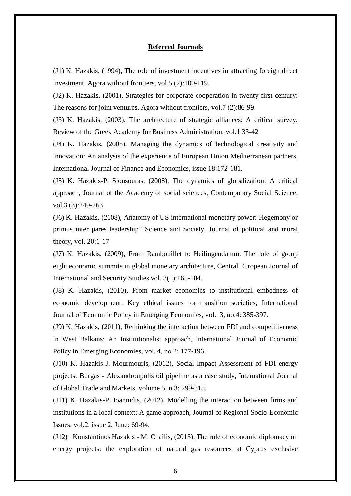### **Refereed Journals**

(J1) K. Hazakis, (1994), The role of investment incentives in attracting foreign direct investment, Agora without frontiers, vol.5 (2):100-119.

(J2) K. Hazakis, (2001), Strategies for corporate cooperation in twenty first century: The reasons for joint ventures, Agora without frontiers, vol.7 (2):86-99.

(J3) K. Hazakis, (2003), The architecture of strategic alliances: A critical survey, Review of the Greek Academy for Business Administration, vol.1:33-42

(J4) K. Hazakis, (2008), Managing the dynamics of technological creativity and innovation: An analysis of the experience of European Union Mediterranean partners, International Journal of Finance and Economics, issue 18:172-181.

(J5) K. Hazakis-P. Siousouras, (2008), The dynamics of globalization: A critical approach, Journal of the Academy of social sciences, Contemporary Social Science, vol.3 (3):249-263.

(J6) K. Hazakis, (2008), Anatomy of US international monetary power: Hegemony or primus inter pares leadership? Science and Society, Journal of political and moral theory, vol. 20:1-17

(J7) K. Hazakis, (2009), From Rambouillet to Heilingendamm: The role of group eight economic summits in global monetary architecture, Central European Journal of International and Security Studies vol. 3(1):165-184.

(J8) K. Hazakis, (2010), From market economics to institutional embedness of economic development: Key ethical issues for transition societies, International Journal of Economic Policy in Emerging Economies, vol. 3, no.4: 385-397.

(J9) K. Hazakis, (2011), Rethinking the interaction between FDI and competitiveness in West Balkans: An Institutionalist approach, International Journal of Economic Policy in Emerging Economies, vol. 4, no 2: 177-196.

(J10) K. Hazakis-J. Mourmouris, (2012), Social Impact Assessment of FDI energy projects: Burgas - Alexandroupolis oil pipeline as a case study, International Journal of Global Trade and Markets, volume 5, n 3: 299-315.

(J11) K. Hazakis-P. Ioannidis, (2012), Modelling the interaction between firms and institutions in a local context: A game approach, Journal of Regional Socio-Economic Issues, vol.2, issue 2, June: 69-94.

(J12) Konstantinos Hazakis - M. Chailis, (2013), The role of economic diplomacy on energy projects: the exploration of natural gas resources at Cyprus exclusive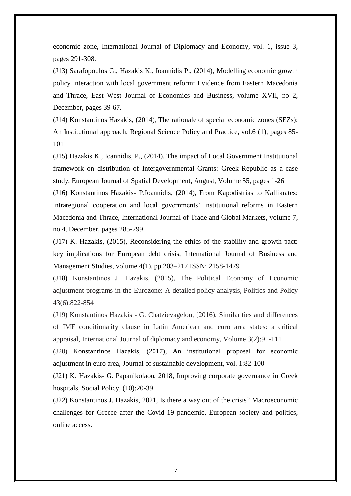economic zone, International Journal of Diplomacy and Economy, vol. 1, issue 3, pages 291-308.

(J13) Sarafopoulos G., Hazakis K., Ioannidis P., (2014), Modelling economic growth policy interaction with local government reform: Evidence from Eastern Macedonia and Thrace, East West Journal of Economics and Business, volume XVII, no 2, December, pages 39-67.

(J14) Konstantinos Hazakis, (2014), The rationale of special economic zones (SEZs): An Institutional approach, Regional Science Policy and Practice, vol.6 (1), pages 85- 101

(J15) Hazakis K., Ioannidis, P., (2014), The impact of Local Government Institutional framework on distribution of Intergovernmental Grants: Greek Republic as a case study, European Journal of Spatial Development, August, Volume 55, pages 1-26.

(J16) Konstantinos Hazakis- P.Ioannidis, (2014), From Kapodistrias to Kallikrates: intraregional cooperation and local governments' institutional reforms in Eastern Macedonia and Thrace, International Journal of Trade and Global Markets, volume 7, no 4, December, pages 285-299.

(J17) K. Hazakis, (2015), Reconsidering the ethics of the stability and growth pact: key implications for European debt crisis, International Journal of Business and Management Studies, volume 4(1), pp.203–217 ISSN: 2158-1479

(J18) Konstantinos J. Hazakis, (2015), The Political Economy of Economic adjustment programs in the Eurozone: A detailed policy analysis, Politics and Policy 43(6):822-854

(J19) Κοnstantinos Hazakis - G. Chatzievagelou, (2016), Similarities and differences of IMF conditionality clause in Latin American and euro area states: a critical appraisal, International Journal of diplomacy and economy, Volume 3(2):91-111

(J20) Konstantinos Hazakis, (2017), An institutional proposal for economic adjustment in euro area, Journal of sustainable development, vol. 1:82-100

(J21) Κ. Hazakis- G. Papanikolaou, 2018, Improving corporate governance in Greek hospitals, Social Policy, (10):20-39.

(J22) Konstantinos J. Hazakis, 2021, Is there a way out of the crisis? Macroeconomic challenges for Greece after the Covid-19 pandemic, European society and politics, online access.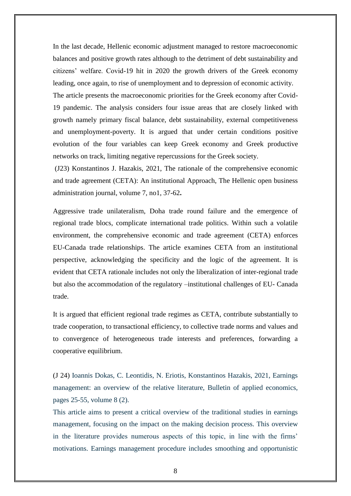In the last decade, Hellenic economic adjustment managed to restore macroeconomic balances and positive growth rates although to the detriment of debt sustainability and citizens' welfare. Covid-19 hit in 2020 the growth drivers of the Greek economy leading, once again, to rise of unemployment and to depression of economic activity. The article presents the macroeconomic priorities for the Greek economy after Covid-19 pandemic. The analysis considers four issue areas that are closely linked with growth namely primary fiscal balance, debt sustainability, external competitiveness and unemployment-poverty. It is argued that under certain conditions positive evolution of the four variables can keep Greek economy and Greek productive networks on track, limiting negative repercussions for the Greek society.

(J23) Konstantinos J. Hazakis, 2021, The rationale of the comprehensive economic and trade agreement (CETA): An institutional Approach, The Hellenic open business administration journal, volume 7, no1, 37-62**.**

Aggressive trade unilateralism, Doha trade round failure and the emergence of regional trade blocs, complicate international trade politics. Within such a volatile environment, the comprehensive economic and trade agreement (CETA) enforces EU-Canada trade relationships. The article examines CETA from an institutional perspective, acknowledging the specificity and the logic of the agreement. It is evident that CETA rationale includes not only the liberalization of inter-regional trade but also the accommodation of the regulatory –institutional challenges of EU- Canada trade.

It is argued that efficient regional trade regimes as CETA, contribute substantially to trade cooperation, to transactional efficiency, to collective trade norms and values and to convergence of heterogeneous trade interests and preferences, forwarding a cooperative equilibrium.

(J 24) Ioannis Dokas, C. Leontidis, N. Eriotis, Konstantinos Hazakis, 2021, Earnings management: an overview of the relative literature, Bulletin of applied economics, pages 25-55, volume 8 (2).

This article aims to present a critical overview of the traditional studies in earnings management, focusing on the impact on the making decision process. This overview in the literature provides numerous aspects of this topic, in line with the firms' motivations. Earnings management procedure includes smoothing and opportunistic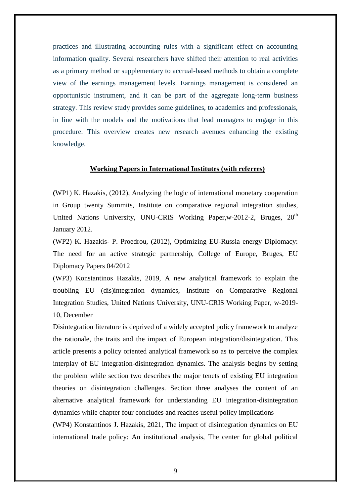practices and illustrating accounting rules with a significant effect on accounting information quality. Several researchers have shifted their attention to real activities as a primary method or supplementary to accrual-based methods to obtain a complete view of the earnings management levels. Earnings management is considered an opportunistic instrument, and it can be part of the aggregate long-term business strategy. This review study provides some guidelines, to academics and professionals, in line with the models and the motivations that lead managers to engage in this procedure. This overview creates new research avenues enhancing the existing knowledge.

## **Working Papers in International Institutes (with referees)**

**(**WP1) K. Hazakis, (2012), Analyzing the logic of international monetary cooperation in Group twenty Summits, Institute on comparative regional integration studies, United Nations University, UNU-CRIS Working Paper,w-2012-2, Bruges, 20<sup>th</sup> January 2012.

(WP2) K. Hazakis- P. Proedrou, (2012), Optimizing EU-Russia energy Diplomacy: The need for an active strategic partnership, College of Europe, Bruges, EU Diplomacy Papers 04/2012

(WP3) Konstantinos Hazakis, 2019, A new analytical framework to explain the troubling EU (dis)integration dynamics, Institute on Comparative Regional Integration Studies, United Nations University, UNU-CRIS Working Paper, w-2019- 10, December

Disintegration literature is deprived of a widely accepted policy framework to analyze the rationale, the traits and the impact of European integration/disintegration. This article presents a policy oriented analytical framework so as to perceive the complex interplay of EU integration-disintegration dynamics. The analysis begins by setting the problem while section two describes the major tenets of existing EU integration theories on disintegration challenges. Section three analyses the content of an alternative analytical framework for understanding EU integration-disintegration dynamics while chapter four concludes and reaches useful policy implications

(WP4) Konstantinos J. Hazakis, 2021, The impact of disintegration dynamics on EU international trade policy: An institutional analysis, The center for global political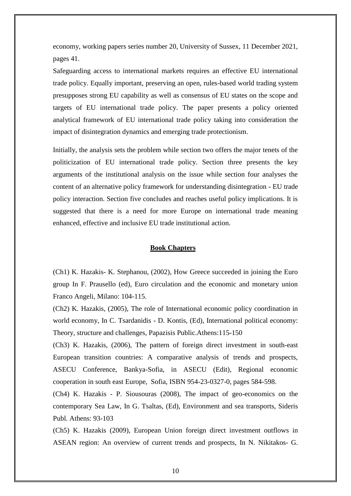economy, working papers series number 20, University of Sussex, 11 December 2021, pages 41.

Safeguarding access to international markets requires an effective EU international trade policy. Equally important, preserving an open, rules-based world trading system presupposes strong EU capability as well as consensus of EU states on the scope and targets of EU international trade policy. The paper presents a policy oriented analytical framework of EU international trade policy taking into consideration the impact of disintegration dynamics and emerging trade protectionism.

Initially, the analysis sets the problem while section two offers the major tenets of the politicization of EU international trade policy. Section three presents the key arguments of the institutional analysis on the issue while section four analyses the content of an alternative policy framework for understanding disintegration - EU trade policy interaction. Section five concludes and reaches useful policy implications. It is suggested that there is a need for more Europe on international trade meaning enhanced, effective and inclusive EU trade institutional action.

#### **Book Chapters**

(Ch1) K. Hazakis- K. Stephanou, (2002), How Greece succeeded in joining the Euro group In F. Prausello (ed), Euro circulation and the economic and monetary union Franco Angeli, Milano: 104-115.

(Ch2) K. Hazakis, (2005), The role of International economic policy coordination in world economy, In C. Tsardanidis - D. Kontis, (Ed), International political economy: Theory, structure and challenges, Papazisis Public.Athens:115-150

(Ch3) K. Hazakis, (2006), The pattern of foreign direct investment in south-east European transition countries: A comparative analysis of trends and prospects, ASECU Conference, Bankya-Sofia, in ASECU (Edit), Regional economic cooperation in south east Europe, Sofia, ISBN 954-23-0327-0, pages 584-598.

(Ch4) K. Hazakis - P. Siousouras (2008), The impact of geo-economics on the contemporary Sea Law, In G. Tsaltas, (Ed), Environment and sea transports, Sideris Publ. Athens: 93-103

(Ch5) K. Hazakis (2009), European Union foreign direct investment outflows in ASEAN region: An overview of current trends and prospects, In N. Nikitakos- G.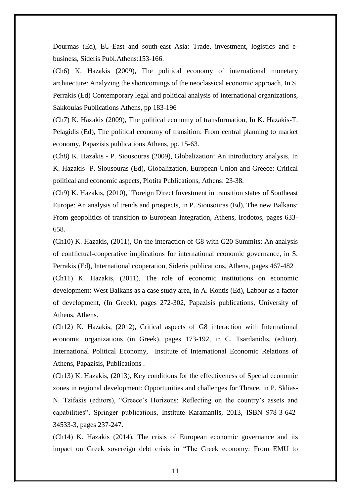Dourmas (Ed), EU-East and south-east Asia: Trade, investment, logistics and ebusiness, Sideris Publ.Athens:153-166.

(Ch6) K. Hazakis (2009), The political economy of international monetary architecture: Analyzing the shortcomings of the neoclassical economic approach, In S. Perrakis (Ed) Contemporary legal and political analysis of international organizations, Sakkoulas Publications Athens, pp 183-196

(Ch7) K. Hazakis (2009), The political economy of transformation, In K. Hazakis-T. Pelagidis (Ed), The political economy of transition: From central planning to market economy, Papazisis publications Athens, pp. 15-63.

(Ch8) K. Hazakis - P. Siousouras (2009), Globalization: An introductory analysis, In K. Hazakis- P. Siousouras (Ed), Globalization, European Union and Greece: Critical political and economic aspects, Piotita Publications, Athens: 23-38.

(Ch9) K. Hazakis, (2010), "Foreign Direct Investment in transition states of Southeast Europe: An analysis of trends and prospects, in P. Siousouras (Ed), The new Balkans: From geopolitics of transition to European Integration, Athens, Irodotos, pages 633- 658.

**(**Ch10) K. Hazakis, (2011), On the interaction of G8 with G20 Summits: An analysis of conflictual-cooperative implications for international economic governance, in S. Perrakis (Ed), International cooperation, Sideris publications, Athens, pages 467-482

(Ch11) K. Hazakis, (2011), The role of economic institutions on economic development: West Balkans as a case study area, in A. Kontis (Ed), Labour as a factor of development, (In Greek), pages 272-302, Papazisis publications, University of Athens, Athens.

(Ch12) K. Hazakis, (2012), Critical aspects of G8 interaction with International economic organizations (in Greek), pages 173-192, in C. Tsardanidis, (editor), International Political Economy, Institute of International Economic Relations of Athens, Papazisis, Publications .

(Ch13) K. Hazakis, (2013), Key conditions for the effectiveness of Special economic zones in regional development: Opportunities and challenges for Thrace, in P. Sklias-N. Tzifakis (editors), "Greece's Horizons: Reflecting on the country's assets and capabilities", Springer publications, Institute Karamanlis, 2013, ISBN 978-3-642- 34533-3, pages 237-247.

(Ch14) K. Hazakis (2014), The crisis of European economic governance and its impact on Greek sovereign debt crisis in "The Greek economy: From EMU to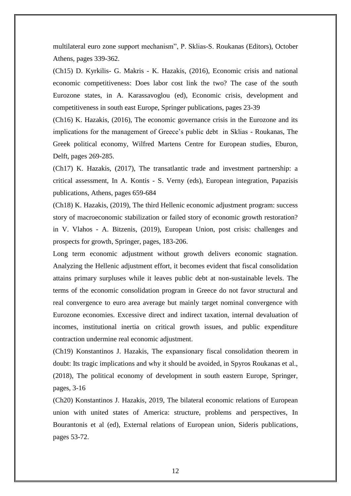multilateral euro zone support mechanism", P. Sklias-S. Roukanas (Editors), October Athens, pages 339-362.

(Ch15) D. Kyrkilis- G. Makris - K. Hazakis, (2016), Economic crisis and national economic competitiveness: Does labor cost link the two? The case of the south Eurozone states, in A. Karassavoglou (ed), Economic crisis, development and competitiveness in south east Europe, Springer publications, pages 23-39

(Ch16) K. Hazakis, (2016), The economic governance crisis in the Eurozone and its implications for the management of Greece's public debt in Sklias - Roukanas, The Greek political economy, Wilfred Martens Centre for European studies, Eburon, Delft, pages 269-285.

(Ch17) K. Hazakis, (2017), The transatlantic trade and investment partnership: a critical assessment, In A. Kontis - S. Verny (eds), European integration, Papazisis publications, Athens, pages 659-684

(Ch18) K. Hazakis, (2019), The third Hellenic economic adjustment program: success story of macroeconomic stabilization or failed story of economic growth restoration? in V. Vlahos - A. Bitzenis, (2019), European Union, post crisis: challenges and prospects for growth, Springer, pages, 183-206.

Long term economic adjustment without growth delivers economic stagnation. Analyzing the Hellenic adjustment effort, it becomes evident that fiscal consolidation attains primary surpluses while it leaves public debt at non-sustainable levels. The terms of the economic consolidation program in Greece do not favor structural and real convergence to euro area average but mainly target nominal convergence with Eurozone economies. Excessive direct and indirect taxation, internal devaluation of incomes, institutional inertia on critical growth issues, and public expenditure contraction undermine real economic adjustment.

(Ch19) Konstantinos J. Hazakis, The expansionary fiscal consolidation theorem in doubt: Its tragic implications and why it should be avoided, in Spyros Roukanas et al., (2018), The political economy of development in south eastern Europe, Springer, pages, 3-16

(Ch20) Konstantinos J. Hazakis, 2019, The bilateral economic relations of European union with united states of America: structure, problems and perspectives, In Bourantonis et al (ed), External relations of European union, Sideris publications, pages 53-72.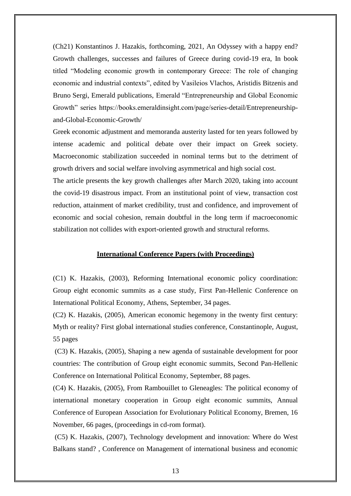(Ch21) Konstantinos J. Hazakis, forthcoming, 2021, An Odyssey with a happy end? Growth challenges, successes and failures of Greece during covid-19 era, In book titled "Modeling economic growth in contemporary Greece: The role of changing economic and industrial contexts", edited by Vasileios Vlachos, Aristidis Bitzenis and Bruno Sergi, Emerald publications, Emerald "Entrepreneurship and Global Economic Growth" series https://books.emeraldinsight.com/page/series-detail/Entrepreneurshipand-Global-Economic-Growth/

Greek economic adjustment and memoranda austerity lasted for ten years followed by intense academic and political debate over their impact on Greek society. Macroeconomic stabilization succeeded in nominal terms but to the detriment of growth drivers and social welfare involving asymmetrical and high social cost.

The article presents the key growth challenges after March 2020, taking into account the covid-19 disastrous impact. From an institutional point of view, transaction cost reduction, attainment of market credibility, trust and confidence, and improvement of economic and social cohesion, remain doubtful in the long term if macroeconomic stabilization not collides with export-oriented growth and structural reforms.

#### **International Conference Papers (with Proceedings)**

(C1) K. Hazakis, (2003), Reforming International economic policy coordination: Group eight economic summits as a case study, First Pan-Hellenic Conference on International Political Economy, Athens, September, 34 pages.

(C2) K. Hazakis, (2005), American economic hegemony in the twenty first century: Myth or reality? First global international studies conference, Constantinople, August, 55 pages

(C3) K. Hazakis, (2005), Shaping a new agenda of sustainable development for poor countries: The contribution of Group eight economic summits, Second Pan-Hellenic Conference on International Political Economy, September, 88 pages.

(C4) K. Hazakis, (2005), From Rambouillet to Gleneagles: The political economy of international monetary cooperation in Group eight economic summits, Annual Conference of European Association for Evolutionary Political Economy, Bremen, 16 November, 66 pages, (proceedings in cd-rom format).

(C5) K. Hazakis, (2007), Technology development and innovation: Where do West Balkans stand? , Conference on Management of international business and economic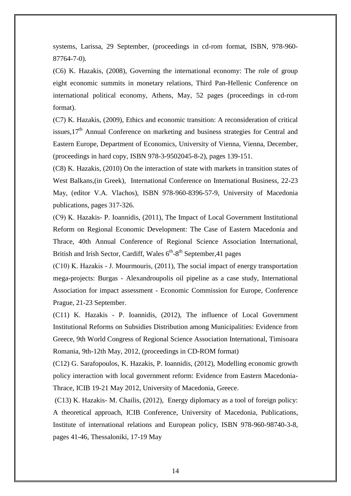systems, Larissa, 29 September, (proceedings in cd-rom format, ISBN, 978-960- 87764-7-0).

(C6) K. Hazakis, (2008), Governing the international economy: The role of group eight economic summits in monetary relations, Third Pan-Hellenic Conference on international political economy, Athens, May, 52 pages (proceedings in cd-rom format).

(C7) K. Hazakis, (2009), Ethics and economic transition: A reconsideration of critical issues. $17<sup>th</sup>$  Annual Conference on marketing and business strategies for Central and Eastern Europe, Department of Economics, University of Vienna, Vienna, December, (proceedings in hard copy, ISBN 978-3-9502045-8-2), pages 139-151.

(C8) K. Hazakis, (2010) On the interaction of state with markets in transition states of West Balkans,(in Greek), International Conference on International Business, 22-23 May, (editor V.A. Vlachos), ISBN 978-960-8396-57-9, University of Macedonia publications, pages 317-326.

(C9) Κ. Hazakis- P. Ioannidis, (2011), The Impact of Local Government Institutional Reform on Regional Economic Development: The Case of Eastern Macedonia and Thrace, 40th Annual Conference of Regional Science Association International, British and Irish Sector, Cardiff, Wales  $6<sup>th</sup>$ -8<sup>th</sup> September, 41 pages

(C10) Κ. Hazakis - J. Mourmouris, (2011), The social impact of energy transportation mega-projects: Burgas - Alexandroupolis oil pipeline as a case study, International Association for impact assessment - Economic Commission for Europe, Conference Prague, 21-23 September.

(C11) K. Hazakis - P. Ioannidis, (2012), The influence of Local Government Institutional Reforms on Subsidies Distribution among Municipalities: Evidence from Greece, 9th World Congress of Regional Science Association International, Timisoara Romania, 9th-12th May, 2012, (proceedings in CD-ROM format)

(C12) G. Sarafopoulos, K. Hazakis, P. Ioannidis, (2012), Modelling economic growth policy interaction with local government reform: Evidence from Eastern Macedonia-Thrace, ICIB 19-21 May 2012, University of Macedonia, Greece.

(C13) K. Hazakis- M. Chailis, (2012), Energy diplomacy as a tool of foreign policy: A theoretical approach, ICIB Conference, University of Macedonia, Publications, Institute of international relations and European policy, ISBN 978-960-98740-3-8, pages 41-46, Thessaloniki, 17-19 May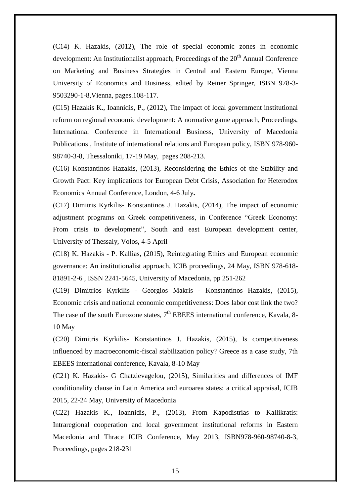(C14) K. Hazakis, (2012), The role of special economic zones in economic development: An Institutionalist approach, Proceedings of the 20<sup>th</sup> Annual Conference on Marketing and Business Strategies in Central and Eastern Europe, Vienna University of Economics and Business, edited by Reiner Springer, ISBN 978-3- 9503290-1-8,Vienna, pages.108-117.

(C15) Hazakis K., Ioannidis, P., (2012), The impact of local government institutional reform on regional economic development: A normative game approach, Proceedings, International Conference in International Business, University of Macedonia Publications , Institute of international relations and European policy, ISBN 978-960- 98740-3-8, Thessaloniki, 17-19 May, pages 208-213.

(C16) Konstantinos Hazakis, (2013), Reconsidering the Ethics of the Stability and Growth Pact: Key implications for European Debt Crisis, Association for Heterodox Economics Annual Conference, London, 4-6 July**.**

(C17) Dimitris Kyrkilis- Konstantinos J. Hazakis, (2014), The impact of economic adjustment programs on Greek competitiveness, in Conference "Greek Economy: From crisis to development", South and east European development center, University of Thessaly, Volos, 4-5 April

(C18) K. Hazakis - P. Kallias, (2015), Reintegrating Ethics and European economic governance: An institutionalist approach, ICIB proceedings, 24 May, ISBN 978-618- 81891-2-6 , ISSN 2241-5645, University of Macedonia, pp 251-262

(C19) Dimitrios Kyrkilis - Georgios Makris - Konstantinos Hazakis, (2015), Economic crisis and national economic competitiveness: Does labor cost link the two? The case of the south Eurozone states,  $7<sup>th</sup>$  EBEES international conference, Kavala, 8-10 May

(C20) Dimitris Kyrkilis- Konstantinos J. Hazakis, (2015), Is competitiveness influenced by macroeconomic-fiscal stabilization policy? Greece as a case study, 7th EBEES international conference, Kavala, 8-10 May

(C21) K. Hazakis- G Chatzievagelou, (2015), Similarities and differences of IMF conditionality clause in Latin America and euroarea states: a critical appraisal, ICIB 2015, 22-24 May, University of Macedonia

(C22) Hazakis K., Ioannidis, P., (2013), From Kapodistrias to Kallikratis: Intraregional cooperation and local government institutional reforms in Eastern Macedonia and Thrace ICIB Conference, May 2013, ISBN978-960-98740-8-3, Proceedings, pages 218-231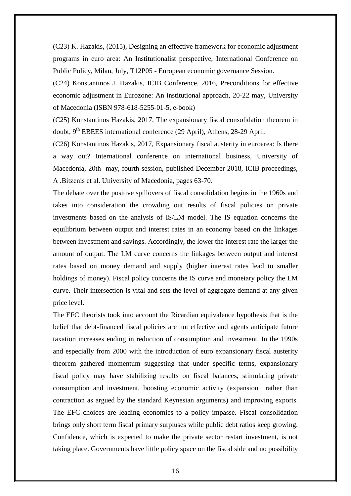(C23) K. Hazakis, (2015), Designing an effective framework for economic adjustment programs in euro area: An Institutionalist perspective, International Conference on Public Policy, Milan, July, T12P05 - European economic governance Session.

(C24) Konstantinos J. Hazakis, ICIB Conference, 2016, Preconditions for effective economic adjustment in Eurozone: An institutional approach, 20-22 may, University of Macedonia (ISBN 978-618-5255-01-5, e-book)

(C25) Konstantinos Hazakis, 2017, The expansionary fiscal consolidation theorem in doubt, 9<sup>th</sup> EBEES international conference (29 April), Athens, 28-29 April.

(C26) Konstantinos Hazakis, 2017, Expansionary fiscal austerity in euroarea: Is there a way out? International conference on international business, University of Macedonia, 20th may, fourth session, published December 2018, ICIB proceedings, A .Bitzenis et al. University of Macedonia, pages 63-70.

The debate over the positive spillovers of fiscal consolidation begins in the 1960s and takes into consideration the crowding out results of fiscal policies on private investments based on the analysis of IS/LM model. The IS equation concerns the equilibrium between output and interest rates in an economy based on the linkages between investment and savings. Accordingly, the lower the interest rate the larger the amount of output. The LM curve concerns the linkages between output and interest rates based on money demand and supply (higher interest rates lead to smaller holdings of money). Fiscal policy concerns the IS curve and monetary policy the LM curve. Their intersection is vital and sets the level of aggregate demand at any given price level.

The EFC theorists took into account the Ricardian equivalence hypothesis that is the belief that debt-financed fiscal policies are not effective and agents anticipate future taxation increases ending in reduction of consumption and investment. In the 1990s and especially from 2000 with the introduction of euro expansionary fiscal austerity theorem gathered momentum suggesting that under specific terms, expansionary fiscal policy may have stabilizing results on fiscal balances, stimulating private consumption and investment, boosting economic activity (expansion rather than contraction as argued by the standard Keynesian arguments) and improving exports. The EFC choices are leading economies to a policy impasse. Fiscal consolidation brings only short term fiscal primary surpluses while public debt ratios keep growing. Confidence, which is expected to make the private sector restart investment, is not taking place. Governments have little policy space on the fiscal side and no possibility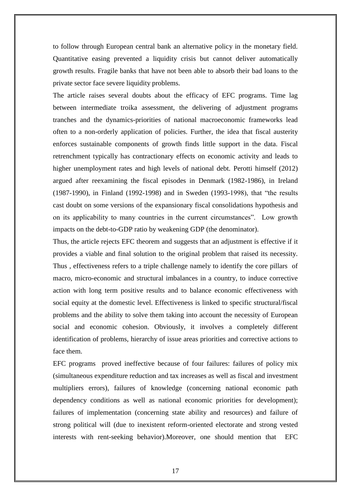to follow through European central bank an alternative policy in the monetary field. Quantitative easing prevented a liquidity crisis but cannot deliver automatically growth results. Fragile banks that have not been able to absorb their bad loans to the private sector face severe liquidity problems.

The article raises several doubts about the efficacy of EFC programs. Time lag between intermediate troika assessment, the delivering of adjustment programs tranches and the dynamics-priorities of national macroeconomic frameworks lead often to a non-orderly application of policies. Further, the idea that fiscal austerity enforces sustainable components of growth finds little support in the data. Fiscal retrenchment typically has contractionary effects on economic activity and leads to higher unemployment rates and high levels of national debt. Perotti himself (2012) argued after reexamining the fiscal episodes in Denmark (1982-1986), in Ireland (1987-1990), in Finland (1992-1998) and in Sweden (1993-1998), that "the results cast doubt on some versions of the expansionary fiscal consolidations hypothesis and on its applicability to many countries in the current circumstances". Low growth impacts on the debt-to-GDP ratio by weakening GDP (the denominator).

Thus, the article rejects EFC theorem and suggests that an adjustment is effective if it provides a viable and final solution to the original problem that raised its necessity. Thus , effectiveness refers to a triple challenge namely to identify the core pillars of macro, micro-economic and structural imbalances in a country, to induce corrective action with long term positive results and to balance economic effectiveness with social equity at the domestic level. Effectiveness is linked to specific structural/fiscal problems and the ability to solve them taking into account the necessity of European social and economic cohesion. Obviously, it involves a completely different identification of problems, hierarchy of issue areas priorities and corrective actions to face them.

EFC programs proved ineffective because of four failures: failures of policy mix (simultaneous expenditure reduction and tax increases as well as fiscal and investment multipliers errors), failures of knowledge (concerning national economic path dependency conditions as well as national economic priorities for development); failures of implementation (concerning state ability and resources) and failure of strong political will (due to inexistent reform-oriented electorate and strong vested interests with rent-seeking behavior).Moreover, one should mention that EFC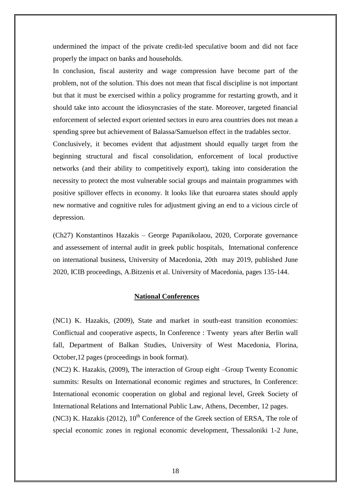undermined the impact of the private credit-led speculative boom and did not face properly the impact on banks and households.

In conclusion, fiscal austerity and wage compression have become part of the problem, not of the solution. This does not mean that fiscal discipline is not important but that it must be exercised within a policy programme for restarting growth, and it should take into account the idiosyncrasies of the state. Moreover, targeted financial enforcement of selected export oriented sectors in euro area countries does not mean a spending spree but achievement of Balassa/Samuelson effect in the tradables sector.

Conclusively, it becomes evident that adjustment should equally target from the beginning structural and fiscal consolidation, enforcement of local productive networks (and their ability to competitively export), taking into consideration the necessity to protect the most vulnerable social groups and maintain programmes with positive spillover effects in economy. It looks like that euroarea states should apply new normative and cognitive rules for adjustment giving an end to a vicious circle of depression.

(Ch27) Konstantinos Hazakis – George Papanikolaou, 2020, Corporate governance and assessement of internal audit in greek public hospitals, International conference on international business, University of Macedonia, 20th may 2019, published June 2020, ICIB proceedings, A.Bitzenis et al. University of Macedonia, pages 135-144.

#### **National Conferences**

(NC1) K. Hazakis, (2009), State and market in south-east transition economies: Conflictual and cooperative aspects, In Conference : Twenty years after Berlin wall fall, Department of Balkan Studies, University of West Macedonia, Florina, October,12 pages (proceedings in book format).

(NC2) K. Hazakis, (2009), The interaction of Group eight –Group Twenty Economic summits: Results on International economic regimes and structures, In Conference: International economic cooperation on global and regional level, Greek Society of International Relations and International Public Law, Athens, December, 12 pages. (NC3) K. Hazakis (2012),  $10^{th}$  Conference of the Greek section of ERSA, The role of special economic zones in regional economic development, Thessaloniki 1-2 June,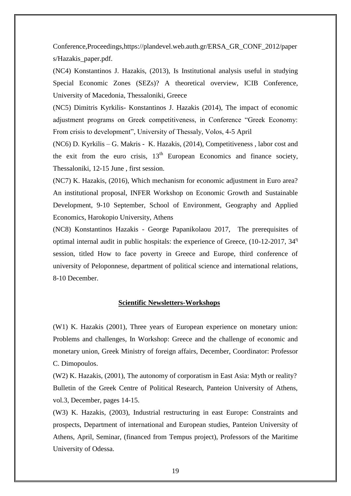Conference,Proceedings[,https://plandevel.web.auth.gr/ERSA\\_GR\\_CONF\\_2012/paper](https://plandevel.web.auth.gr/ERSA_GR_CONF_2012/papers/Hazakis_paper.pdf) [s/Hazakis\\_paper.pdf.](https://plandevel.web.auth.gr/ERSA_GR_CONF_2012/papers/Hazakis_paper.pdf)

(NC4) Konstantinos J. Hazakis, (2013), Is Institutional analysis useful in studying Special Economic Zones (SEZs)? A theoretical overview, ICIB Conference, University of Macedonia, Thessaloniki, Greece

(NC5) Dimitris Kyrkilis- Konstantinos J. Hazakis (2014), The impact of economic adjustment programs on Greek competitiveness, in Conference "Greek Economy: From crisis to development", University of Thessaly, Volos, 4-5 April

(NC6) D. Kyrkilis – G. Makris - K. Hazakis, (2014), Competitiveness , labor cost and the exit from the euro crisis,  $13<sup>th</sup>$  European Economics and finance society, Thessaloniki, 12-15 June , first session.

(NC7) K. Hazakis, (2016), Which mechanism for economic adjustment in Euro area? An institutional proposal, INFER Workshop on Economic Growth and Sustainable Development, 9-10 September, School of Environment, Geography and Applied Economics, Harokopio University, Athens

(NC8) Κonstantinos Hazakis - George Papanikolaou 2017, The prerequisites of optimal internal audit in public hospitals: the experience of Greece,  $(10-12-2017, 34<sup>n</sup>)$ session, titled How to face poverty in Greece and Europe, third conference of university of Peloponnese, department of political science and international relations, 8-10 December.

### **Scientific Newsletters-Workshops**

(W1) K. Hazakis (2001), Three years of European experience on monetary union: Problems and challenges, In Workshop: Greece and the challenge of economic and monetary union, Greek Ministry of foreign affairs, December, Coordinator: Professor C. Dimopoulos.

(W2) K. Hazakis, (2001), The autonomy of corporatism in East Asia: Myth or reality? Bulletin of the Greek Centre of Political Research, Panteion University of Athens, vol.3, December, pages 14-15.

(W3) K. Hazakis, (2003), Industrial restructuring in east Europe: Constraints and prospects, Department of international and European studies, Panteion University of Athens, April, Seminar, (financed from Tempus project), Professors of the Maritime University of Odessa.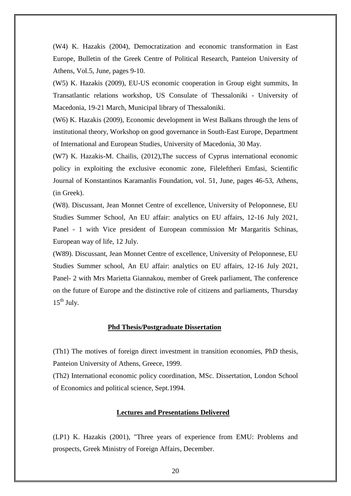(W4) K. Hazakis (2004), Democratization and economic transformation in East Europe, Bulletin of the Greek Centre of Political Research, Panteion University of Athens, Vol.5, June, pages 9-10.

(W5) K. Hazakis (2009), EU-US economic cooperation in Group eight summits, In Transatlantic relations workshop, US Consulate of Thessaloniki - University of Macedonia, 19-21 March, Municipal library of Thessaloniki.

(W6) K. Hazakis (2009), Economic development in West Balkans through the lens of institutional theory, Workshop on good governance in South-East Europe, Department of International and European Studies, University of Macedonia, 30 May.

(W7) K. Hazakis-M. Chailis, (2012),The success of Cyprus international economic policy in exploiting the exclusive economic zone, Fileleftheri Emfasi, Scientific Journal of Konstantinos Karamanlis Foundation, vol. 51, June, pages 46-53, Athens, (in Greek).

(W8). Discussant, Jean Monnet Centre of excellence, University of Peloponnese, EU Studies Summer School, An EU affair: analytics on EU affairs, 12-16 July 2021, Panel - 1 with Vice president of European commission Mr Margaritis Schinas, European way of life, 12 July.

(W89). Discussant, Jean Monnet Centre of excellence, University of Peloponnese, EU Studies Summer school, An EU affair: analytics on EU affairs, 12-16 July 2021, Panel- 2 with Mrs Marietta Giannakou, member of Greek parliament, The conference on the future of Europe and the distinctive role of citizens and parliaments, Thursday  $15^{th}$  July.

#### **Phd Thesis/Postgraduate Dissertation**

(Th1) The motives of foreign direct investment in transition economies, PhD thesis, Panteion University of Athens, Greece, 1999.

(Th2) International economic policy coordination, MSc. Dissertation, London School of Economics and political science, Sept.1994.

### **Lectures and Presentations Delivered**

(LP1) K. Hazakis (2001), "Three years of experience from EMU: Problems and prospects, Greek Ministry of Foreign Affairs, December.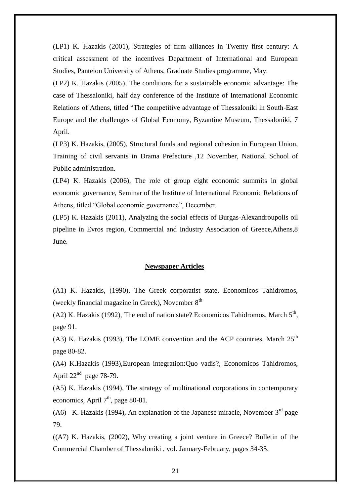(LP1) K. Hazakis (2001), Strategies of firm alliances in Twenty first century: A critical assessment of the incentives Department of International and European Studies, Panteion University of Athens, Graduate Studies programme, May.

(LP2) K. Hazakis (2005), The conditions for a sustainable economic advantage: The case of Thessaloniki, half day conference of the Institute of International Economic Relations of Athens, titled "The competitive advantage of Thessaloniki in South-East Europe and the challenges of Global Economy, Byzantine Museum, Thessaloniki, 7 April.

(LP3) K. Hazakis, (2005), Structural funds and regional cohesion in European Union, Training of civil servants in Drama Prefecture ,12 November, National School of Public administration.

(LP4) K. Hazakis (2006), The role of group eight economic summits in global economic governance, Seminar of the Institute of International Economic Relations of Athens, titled "Global economic governance", December.

(LP5) K. Hazakis (2011), Analyzing the social effects of Burgas-Alexandroupolis oil pipeline in Evros region, Commercial and Industry Association of Greece,Athens,8 June.

#### **Newspaper Articles**

(A1) K. Hazakis, (1990), The Greek corporatist state, Economicos Tahidromos, (weekly financial magazine in Greek), November  $8<sup>th</sup>$ 

(A2) K. Hazakis (1992), The end of nation state? Economicos Tahidromos, March  $5<sup>th</sup>$ , page 91.

(A3) K. Hazakis (1993), The LOME convention and the ACP countries, March  $25<sup>th</sup>$ page 80-82.

(A4) K.Hazakis (1993),European integration:Quo vadis?, Economicos Tahidromos, April  $22<sup>nd</sup>$  page 78-79.

(A5) K. Hazakis (1994), The strategy of multinational corporations in contemporary economics, April  $7<sup>th</sup>$ , page 80-81.

(A6) K. Hazakis (1994), An explanation of the Japanese miracle, November  $3<sup>rd</sup>$  page 79.

 $((A7)$  K. Hazakis,  $(2002)$ , Why creating a joint venture in Greece? Bulletin of the Commercial Chamber of Thessaloniki , vol. January-February, pages 34-35.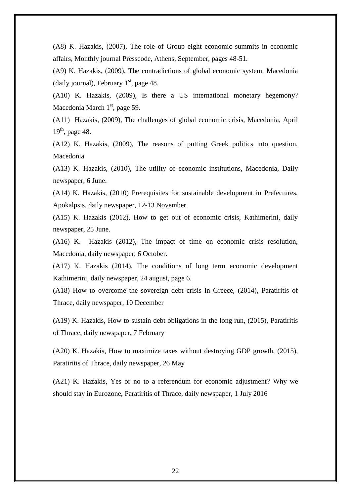(A8) K. Hazakis, (2007), The role of Group eight economic summits in economic affairs, Monthly journal Presscode, Athens, September, pages 48-51.

(A9) K. Hazakis, (2009), The contradictions of global economic system, Macedonia (daily journal), February  $1<sup>st</sup>$ , page 48.

(A10) K. Hazakis, (2009), Is there a US international monetary hegemony? Macedonia March  $1<sup>st</sup>$ , page 59.

(A11) Hazakis, (2009), The challenges of global economic crisis, Macedonia, April 19<sup>th</sup>, page 48.

(A12) K. Hazakis, (2009), The reasons of putting Greek politics into question, Macedonia

(A13) K. Hazakis, (2010), The utility of economic institutions, Macedonia, Daily newspaper, 6 June.

(A14) K. Hazakis, (2010) Prerequisites for sustainable development in Prefectures, Apokalpsis, daily newspaper, 12-13 November.

(A15) K. Hazakis (2012), How to get out of economic crisis, Kathimerini, daily newspaper, 25 June.

(A16) K. Hazakis (2012), The impact of time on economic crisis resolution, Macedonia, daily newspaper, 6 October.

(A17) K. Hazakis (2014), The conditions of long term economic development Kathimerini, daily newspaper, 24 august, page 6.

(A18) How to overcome the sovereign debt crisis in Greece, (2014), Paratiritis of Thrace, daily newspaper, 10 December

(A19) K. Hazakis, How to sustain debt obligations in the long run, (2015), Paratiritis of Thrace, daily newspaper, 7 February

(A20) K. Hazakis, How to maximize taxes without destroying GDP growth, (2015), Paratiritis of Thrace, daily newspaper, 26 May

(A21) K. Hazakis, Yes or no to a referendum for economic adjustment? Why we should stay in Eurozone, Paratiritis of Thrace, daily newspaper, 1 July 2016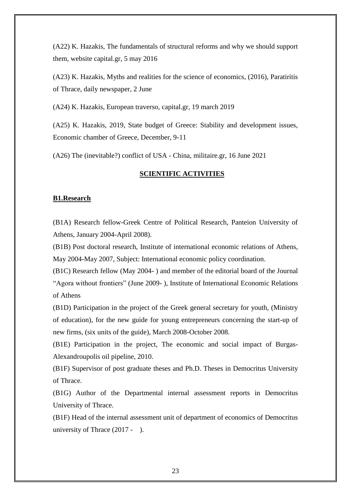(A22) K. Hazakis, The fundamentals of structural reforms and why we should support them, website capital.gr, 5 may 2016

(A23) K. Hazakis, Myths and realities for the science of economics, (2016), Paratiritis of Thrace, daily newspaper, 2 June

(A24) K. Hazakis, European traverso, capital.gr, 19 march 2019

(A25) K. Hazakis, 2019, State budget of Greece: Stability and development issues, Economic chamber of Greece, December, 9-11

(A26) The (inevitable?) conflict of USA - China, militaire.gr, 16 June 2021

## **SCIENTIFIC ACTIVITIES**

#### **B1.Research**

(B1A) Research fellow-Greek Centre of Political Research, Panteion University of Athens, January 2004-April 2008).

(B1B) Post doctoral research, Institute of international economic relations of Athens, May 2004-May 2007, Subject: International economic policy coordination.

(B1C) Research fellow (May 2004- ) and member of the editorial board of the Journal "Agora without frontiers" (June 2009- ), Institute of International Economic Relations of Athens

(B1D) Participation in the project of the Greek general secretary for youth, (Ministry of education), for the new guide for young entrepreneurs concerning the start-up of new firms, (six units of the guide), March 2008-October 2008.

(B1E) Participation in the project, The economic and social impact of Burgas-Alexandroupolis oil pipeline, 2010.

(B1F) Supervisor of post graduate theses and Ph.D. Theses in Democritus University of Thrace.

(B1G) Author of the Departmental internal assessment reports in Democritus University of Thrace.

(B1F) Head of the internal assessment unit of department of economics of Democritus university of Thrace (2017 - ).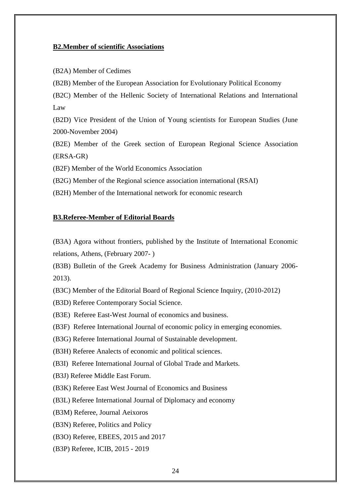#### **B2.Member of scientific Associations**

(B2A) Member of Cedimes

(B2B) Member of the European Association for Evolutionary Political Economy

(B2C) Member of the Hellenic Society of International Relations and International Law

(B2D) Vice President of the Union of Young scientists for European Studies (June 2000-November 2004)

(B2E) Member of the Greek section of European Regional Science Association (ERSA-GR)

(B2F) Member of the World Economics Association

(B2G) Member of the Regional science association international (RSAI)

(B2H) Member of the International network for economic research

#### **B3.Referee-Member of Editorial Boards**

(B3A) Agora without frontiers, published by the Institute of International Economic relations, Athens, (February 2007- )

(B3B) Bulletin of the Greek Academy for Business Administration (January 2006- 2013).

(B3C) Member of the Editorial Board of Regional Science Inquiry, (2010-2012)

(B3D) Referee Contemporary Social Science.

(B3E) Referee East-West Journal of economics and business.

(B3F) Referee International Journal of economic policy in emerging economies.

(B3G) Referee International Journal of Sustainable development.

(B3H) Referee Analects of economic and political sciences.

(B3I) Referee International Journal of Global Trade and Markets.

(B3J) Referee Middle East Forum.

(B3K) Referee East West Journal of Economics and Business

(B3L) Referee International Journal of Diplomacy and economy

(B3M) Referee, Journal Aeixoros

(B3N) Referee, Politics and Policy

(B3O) Referee, EBEES, 2015 and 2017

(B3P) Referee, ICIB, 2015 - 2019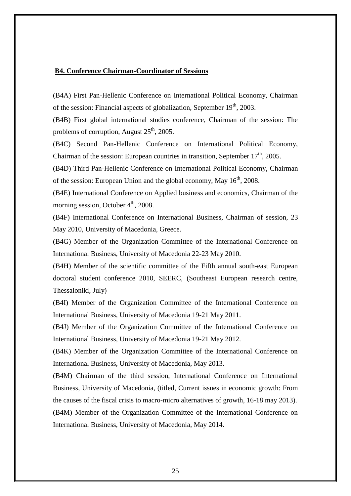#### **B4. Conference Chairman-Coordinator of Sessions**

(B4A) First Pan-Hellenic Conference on International Political Economy, Chairman of the session: Financial aspects of globalization, September  $19<sup>th</sup>$ , 2003.

(B4B) First global international studies conference, Chairman of the session: The problems of corruption, August  $25<sup>th</sup>$ , 2005.

(B4C) Second Pan-Hellenic Conference on International Political Economy, Chairman of the session: European countries in transition, September  $17<sup>th</sup>$ , 2005.

(B4D) Third Pan-Hellenic Conference on International Political Economy, Chairman of the session: European Union and the global economy, May  $16<sup>th</sup>$ , 2008.

(B4E) International Conference on Applied business and economics, Chairman of the morning session, October  $4<sup>th</sup>$ , 2008.

(B4F) International Conference on International Business, Chairman of session, 23 May 2010, University of Macedonia, Greece.

(B4G) Member of the Organization Committee of the International Conference on International Business, University of Macedonia 22-23 May 2010.

(B4H) Member of the scientific committee of the Fifth annual south-east European doctoral student conference 2010, SEERC, (Southeast European research centre, Thessaloniki, July)

(B4I) Member of the Organization Committee of the International Conference on International Business, University of Macedonia 19-21 May 2011.

(B4J) Member of the Organization Committee of the International Conference on International Business, University of Macedonia 19-21 May 2012.

(B4K) Member of the Organization Committee of the International Conference on International Business, University of Macedonia, May 2013.

(B4M) Chairman of the third session, International Conference on International Business, University of Macedonia, (titled, Current issues in economic growth: From the causes of the fiscal crisis to macro-micro alternatives of growth, 16-18 may 2013). (B4M) Member of the Organization Committee of the International Conference on International Business, University of Macedonia, May 2014.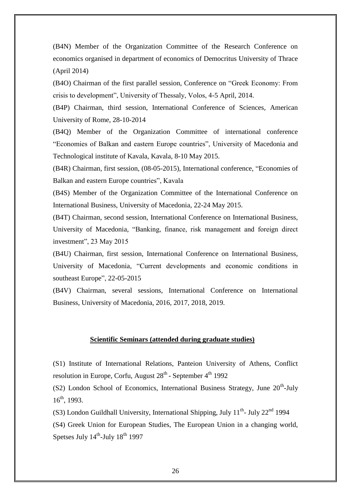(B4N) Member of the Organization Committee of the Research Conference on economics organised in department of economics of Democritus University of Thrace (April 2014)

(B4O) Chairman of the first parallel session, Conference on "Greek Economy: From crisis to development", University of Thessaly, Volos, 4-5 April, 2014.

(B4P) Chairman, third session, International Conference of Sciences, American University of Rome, 28-10-2014

(B4Q) Member of the Organization Committee of international conference "Economies of Balkan and eastern Europe countries", University of Macedonia and Technological institute of Kavala, Kavala, 8-10 May 2015.

(B4R) Chairman, first session, (08-05-2015), International conference, "Economies of Balkan and eastern Europe countries", Kavala

(B4S) Member of the Organization Committee of the International Conference on International Business, University of Macedonia, 22-24 May 2015.

(B4T) Chairman, second session, International Conference on International Business, University of Macedonia, "Banking, finance, risk management and foreign direct investment", 23 May 2015

(B4U) Chairman, first session, International Conference on International Business, University of Macedonia, "Current developments and economic conditions in southeast Europe", 22-05-2015

(B4V) Chairman, several sessions, International Conference on International Business, University of Macedonia, 2016, 2017, 2018, 2019.

#### **Scientific Seminars (attended during graduate studies)**

(S1) Institute of International Relations, Panteion University of Athens, Conflict resolution in Europe, Corfu, August 28<sup>th</sup> - September 4<sup>th</sup> 1992

 $(S2)$  London School of Economics, International Business Strategy, June  $20<sup>th</sup>$ -July  $16^{th}$ , 1993.

(S3) London Guildhall University, International Shipping, July  $11^{th}$ - July  $22^{nd}$  1994

(S4) Greek Union for European Studies, The European Union in a changing world, Spetses July  $14^{\text{th}}$ -July  $18^{\text{th}}$  1997